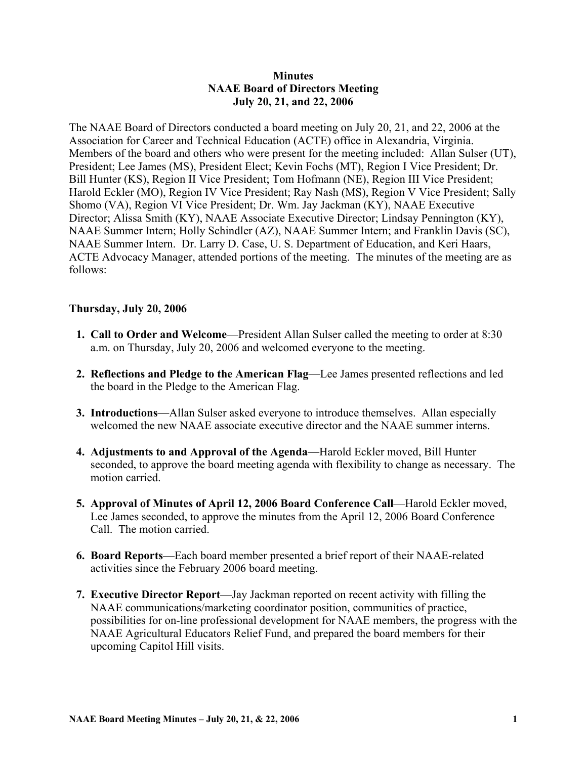### **Minutes NAAE Board of Directors Meeting July 20, 21, and 22, 2006**

The NAAE Board of Directors conducted a board meeting on July 20, 21, and 22, 2006 at the Association for Career and Technical Education (ACTE) office in Alexandria, Virginia. Members of the board and others who were present for the meeting included: Allan Sulser (UT), President; Lee James (MS), President Elect; Kevin Fochs (MT), Region I Vice President; Dr. Bill Hunter (KS), Region II Vice President; Tom Hofmann (NE), Region III Vice President; Harold Eckler (MO), Region IV Vice President; Ray Nash (MS), Region V Vice President; Sally Shomo (VA), Region VI Vice President; Dr. Wm. Jay Jackman (KY), NAAE Executive Director; Alissa Smith (KY), NAAE Associate Executive Director; Lindsay Pennington (KY), NAAE Summer Intern; Holly Schindler (AZ), NAAE Summer Intern; and Franklin Davis (SC), NAAE Summer Intern. Dr. Larry D. Case, U. S. Department of Education, and Keri Haars, ACTE Advocacy Manager, attended portions of the meeting. The minutes of the meeting are as follows:

#### **Thursday, July 20, 2006**

- **1. Call to Order and Welcome**—President Allan Sulser called the meeting to order at 8:30 a.m. on Thursday, July 20, 2006 and welcomed everyone to the meeting.
- **2. Reflections and Pledge to the American Flag**—Lee James presented reflections and led the board in the Pledge to the American Flag.
- **3. Introductions**—Allan Sulser asked everyone to introduce themselves. Allan especially welcomed the new NAAE associate executive director and the NAAE summer interns.
- **4. Adjustments to and Approval of the Agenda**—Harold Eckler moved, Bill Hunter seconded, to approve the board meeting agenda with flexibility to change as necessary. The motion carried.
- **5. Approval of Minutes of April 12, 2006 Board Conference Call**—Harold Eckler moved, Lee James seconded, to approve the minutes from the April 12, 2006 Board Conference Call. The motion carried.
- **6. Board Reports**—Each board member presented a brief report of their NAAE-related activities since the February 2006 board meeting.
- **7. Executive Director Report**—Jay Jackman reported on recent activity with filling the NAAE communications/marketing coordinator position, communities of practice, possibilities for on-line professional development for NAAE members, the progress with the NAAE Agricultural Educators Relief Fund, and prepared the board members for their upcoming Capitol Hill visits.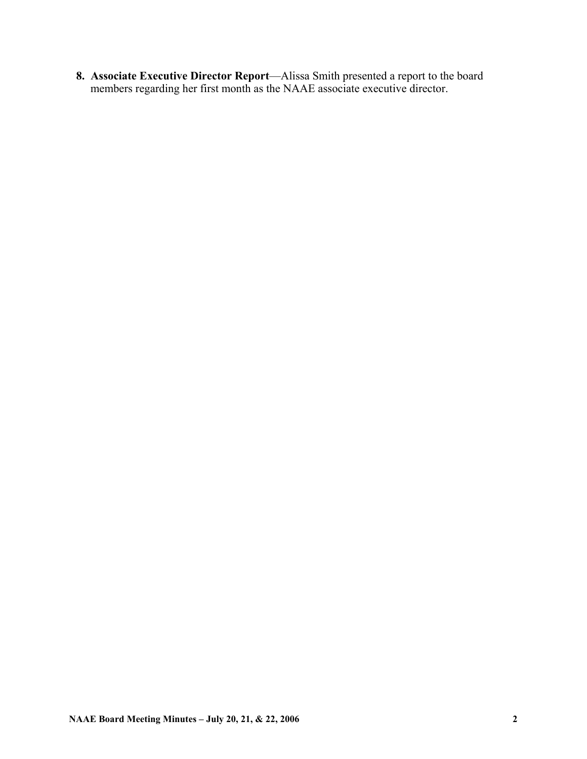**8. Associate Executive Director Report**—Alissa Smith presented a report to the board members regarding her first month as the NAAE associate executive director.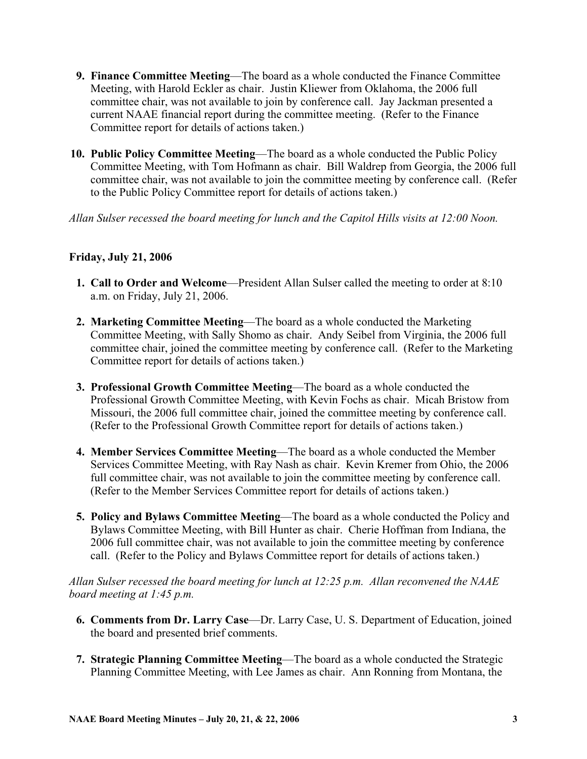- **9. Finance Committee Meeting**—The board as a whole conducted the Finance Committee Meeting, with Harold Eckler as chair. Justin Kliewer from Oklahoma, the 2006 full committee chair, was not available to join by conference call. Jay Jackman presented a current NAAE financial report during the committee meeting. (Refer to the Finance Committee report for details of actions taken.)
- **10. Public Policy Committee Meeting**—The board as a whole conducted the Public Policy Committee Meeting, with Tom Hofmann as chair. Bill Waldrep from Georgia, the 2006 full committee chair, was not available to join the committee meeting by conference call. (Refer to the Public Policy Committee report for details of actions taken.)

*Allan Sulser recessed the board meeting for lunch and the Capitol Hills visits at 12:00 Noon.* 

# **Friday, July 21, 2006**

- **1. Call to Order and Welcome**—President Allan Sulser called the meeting to order at 8:10 a.m. on Friday, July 21, 2006.
- **2. Marketing Committee Meeting**—The board as a whole conducted the Marketing Committee Meeting, with Sally Shomo as chair. Andy Seibel from Virginia, the 2006 full committee chair, joined the committee meeting by conference call. (Refer to the Marketing Committee report for details of actions taken.)
- **3. Professional Growth Committee Meeting**—The board as a whole conducted the Professional Growth Committee Meeting, with Kevin Fochs as chair. Micah Bristow from Missouri, the 2006 full committee chair, joined the committee meeting by conference call. (Refer to the Professional Growth Committee report for details of actions taken.)
- **4. Member Services Committee Meeting**—The board as a whole conducted the Member Services Committee Meeting, with Ray Nash as chair. Kevin Kremer from Ohio, the 2006 full committee chair, was not available to join the committee meeting by conference call. (Refer to the Member Services Committee report for details of actions taken.)
- **5. Policy and Bylaws Committee Meeting**—The board as a whole conducted the Policy and Bylaws Committee Meeting, with Bill Hunter as chair. Cherie Hoffman from Indiana, the 2006 full committee chair, was not available to join the committee meeting by conference call. (Refer to the Policy and Bylaws Committee report for details of actions taken.)

*Allan Sulser recessed the board meeting for lunch at 12:25 p.m. Allan reconvened the NAAE board meeting at 1:45 p.m.* 

- **6. Comments from Dr. Larry Case**—Dr. Larry Case, U. S. Department of Education, joined the board and presented brief comments.
- **7. Strategic Planning Committee Meeting**—The board as a whole conducted the Strategic Planning Committee Meeting, with Lee James as chair. Ann Ronning from Montana, the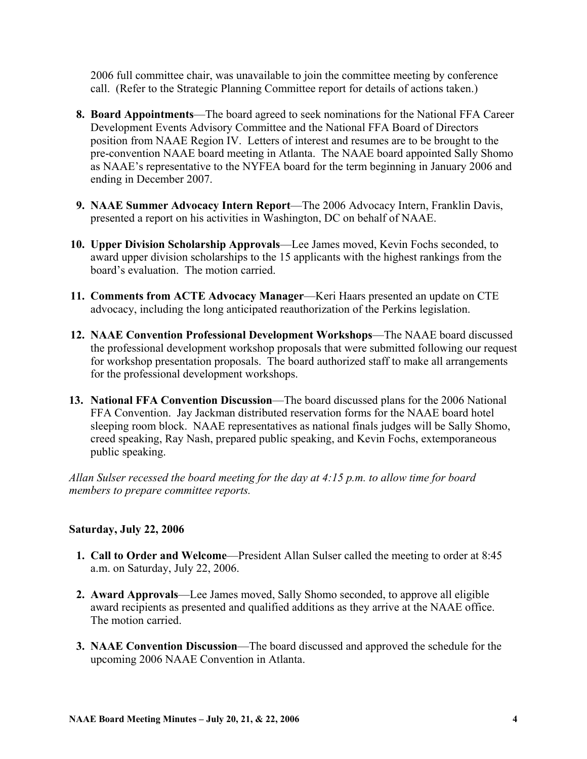2006 full committee chair, was unavailable to join the committee meeting by conference call. (Refer to the Strategic Planning Committee report for details of actions taken.)

- **8. Board Appointments**—The board agreed to seek nominations for the National FFA Career Development Events Advisory Committee and the National FFA Board of Directors position from NAAE Region IV. Letters of interest and resumes are to be brought to the pre-convention NAAE board meeting in Atlanta. The NAAE board appointed Sally Shomo as NAAE's representative to the NYFEA board for the term beginning in January 2006 and ending in December 2007.
- **9. NAAE Summer Advocacy Intern Report**—The 2006 Advocacy Intern, Franklin Davis, presented a report on his activities in Washington, DC on behalf of NAAE.
- **10. Upper Division Scholarship Approvals**—Lee James moved, Kevin Fochs seconded, to award upper division scholarships to the 15 applicants with the highest rankings from the board's evaluation. The motion carried.
- **11. Comments from ACTE Advocacy Manager**—Keri Haars presented an update on CTE advocacy, including the long anticipated reauthorization of the Perkins legislation.
- **12. NAAE Convention Professional Development Workshops**—The NAAE board discussed the professional development workshop proposals that were submitted following our request for workshop presentation proposals. The board authorized staff to make all arrangements for the professional development workshops.
- **13. National FFA Convention Discussion**—The board discussed plans for the 2006 National FFA Convention. Jay Jackman distributed reservation forms for the NAAE board hotel sleeping room block. NAAE representatives as national finals judges will be Sally Shomo, creed speaking, Ray Nash, prepared public speaking, and Kevin Fochs, extemporaneous public speaking.

*Allan Sulser recessed the board meeting for the day at 4:15 p.m. to allow time for board members to prepare committee reports.* 

## **Saturday, July 22, 2006**

- **1. Call to Order and Welcome**—President Allan Sulser called the meeting to order at 8:45 a.m. on Saturday, July 22, 2006.
- **2. Award Approvals**—Lee James moved, Sally Shomo seconded, to approve all eligible award recipients as presented and qualified additions as they arrive at the NAAE office. The motion carried.
- **3. NAAE Convention Discussion**—The board discussed and approved the schedule for the upcoming 2006 NAAE Convention in Atlanta.